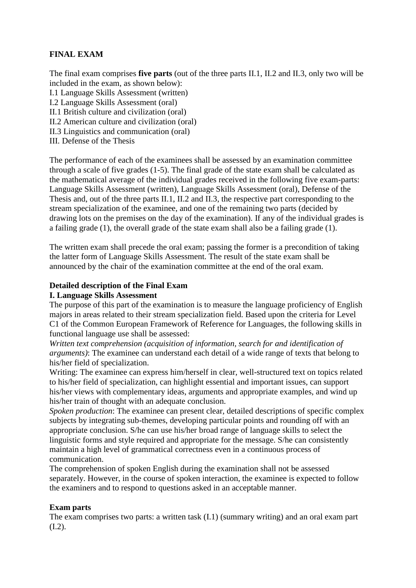## **FINAL EXAM**

The final exam comprises **five parts** (out of the three parts II.1, II.2 and II.3, only two will be included in the exam, as shown below):

I.1 Language Skills Assessment (written)

I.2 Language Skills Assessment (oral)

II.1 British culture and civilization (oral)

II.2 American culture and civilization (oral)

II.3 Linguistics and communication (oral)

III. Defense of the Thesis

The performance of each of the examinees shall be assessed by an examination committee through a scale of five grades (1-5). The final grade of the state exam shall be calculated as the mathematical average of the individual grades received in the following five exam-parts: Language Skills Assessment (written), Language Skills Assessment (oral), Defense of the Thesis and, out of the three parts II.1, II.2 and II.3, the respective part corresponding to the stream specialization of the examinee, and one of the remaining two parts (decided by drawing lots on the premises on the day of the examination). If any of the individual grades is a failing grade (1), the overall grade of the state exam shall also be a failing grade (1).

The written exam shall precede the oral exam; passing the former is a precondition of taking the latter form of Language Skills Assessment. The result of the state exam shall be announced by the chair of the examination committee at the end of the oral exam.

### **Detailed description of the Final Exam**

### **I. Language Skills Assessment**

The purpose of this part of the examination is to measure the language proficiency of English majors in areas related to their stream specialization field. Based upon the criteria for Level C1 of the Common European Framework of Reference for Languages, the following skills in functional language use shall be assessed:

*Written text comprehension (acquisition of information, search for and identification of arguments)*: The examinee can understand each detail of a wide range of texts that belong to his/her field of specialization.

Writing: The examinee can express him/herself in clear, well-structured text on topics related to his/her field of specialization, can highlight essential and important issues, can support his/her views with complementary ideas, arguments and appropriate examples, and wind up his/her train of thought with an adequate conclusion.

*Spoken production*: The examinee can present clear, detailed descriptions of specific complex subjects by integrating sub-themes, developing particular points and rounding off with an appropriate conclusion. S/he can use his/her broad range of language skills to select the linguistic forms and style required and appropriate for the message. S/he can consistently maintain a high level of grammatical correctness even in a continuous process of communication.

The comprehension of spoken English during the examination shall not be assessed separately. However, in the course of spoken interaction, the examinee is expected to follow the examiners and to respond to questions asked in an acceptable manner.

### **Exam parts**

The exam comprises two parts: a written task (I.1) (summary writing) and an oral exam part (I.2).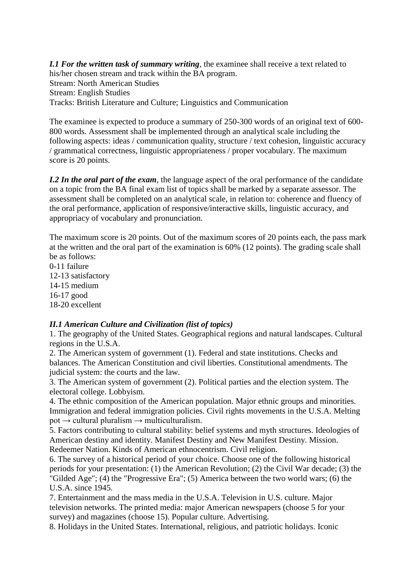*I.1 For the written task of summary writing*, the examinee shall receive a text related to his/her chosen stream and track within the BA program. Stream: North American Studies Stream: English Studies Tracks: British Literature and Culture; Linguistics and Communication

The examinee is expected to produce a summary of 250-300 words of an original text of 600- 800 words. Assessment shall be implemented through an analytical scale including the following aspects: ideas / communication quality, structure / text cohesion, linguistic accuracy / grammatical correctness, linguistic appropriateness / proper vocabulary. The maximum score is 20 points.

*I.2 In the oral part of the exam, the language aspect of the oral performance of the candidate* on a topic from the BA final exam list of topics shall be marked by a separate assessor. The assessment shall be completed on an analytical scale, in relation to: coherence and fluency of the oral performance, application of responsive/interactive skills, linguistic accuracy, and appropriacy of vocabulary and pronunciation.

The maximum score is 20 points. Out of the maximum scores of 20 points each, the pass mark at the written and the oral part of the examination is 60% (12 points). The grading scale shall be as follows:

0-11 failure 12-13 satisfactory 14-15 medium 16-17 good 18-20 excellent

### *II.1 American Culture and Civilization (list of topics)*

1. The geography of the United States. Geographical regions and natural landscapes. Cultural regions in the U.S.A.

2. The American system of government (1). Federal and state institutions. Checks and balances. The American Constitution and civil liberties. Constitutional amendments. The judicial system: the courts and the law.

3. The American system of government (2). Political parties and the election system. The electoral college. Lobbyism.

4. The ethnic composition of the American population. Major ethnic groups and minorities. Immigration and federal immigration policies. Civil rights movements in the U.S.A. Melting  $pot \rightarrow$  cultural pluralism  $\rightarrow$  multiculturalism.

5. Factors contributing to cultural stability: belief systems and myth structures. Ideologies of American destiny and identity. Manifest Destiny and New Manifest Destiny. Mission. Redeemer Nation. Kinds of American ethnocentrism. Civil religion.

6. The survey of a historical period of your choice. Choose one of the following historical periods for your presentation: (1) the American Revolution; (2) the Civil War decade; (3) the "Gilded Age"; (4) the "Progressive Era"; (5) America between the two world wars; (6) the U.S.A. since 1945.

7. Entertainment and the mass media in the U.S.A. Television in U.S. culture. Major television networks. The printed media: major American newspapers (choose 5 for your survey) and magazines (choose 15). Popular culture. Advertising.

8. Holidays in the United States. International, religious, and patriotic holidays. Iconic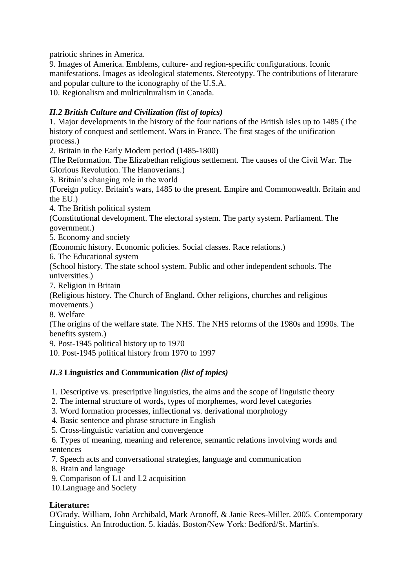patriotic shrines in America.

9. Images of America. Emblems, culture- and region-specific configurations. Iconic manifestations. Images as ideological statements. Stereotypy. The contributions of literature and popular culture to the iconography of the U.S.A.

10. Regionalism and multiculturalism in Canada.

# *II.2 British Culture and Civilization (list of topics)*

1. Major developments in the history of the four nations of the British Isles up to 1485 (The history of conquest and settlement. Wars in France. The first stages of the unification process.)

2. Britain in the Early Modern period (1485-1800)

(The Reformation. The Elizabethan religious settlement. The causes of the Civil War. The Glorious Revolution. The Hanoverians.)

3. Britain's changing role in the world

(Foreign policy. Britain's wars, 1485 to the present. Empire and Commonwealth. Britain and the EU.)

4. The British political system

(Constitutional development. The electoral system. The party system. Parliament. The government.)

5. Economy and society

(Economic history. Economic policies. Social classes. Race relations.)

6. The Educational system

(School history. The state school system. Public and other independent schools. The universities.)

7. Religion in Britain

(Religious history. The Church of England. Other religions, churches and religious movements.)

8. Welfare

(The origins of the welfare state. The NHS. The NHS reforms of the 1980s and 1990s. The benefits system.)

9. Post-1945 political history up to 1970

10. Post-1945 political history from 1970 to 1997

## *II.3* **Linguistics and Communication** *(list of topics)*

1. Descriptive vs. prescriptive linguistics, the aims and the scope of linguistic theory

2. The internal structure of words, types of morphemes, word level categories

3. Word formation processes, inflectional vs. derivational morphology

4. Basic sentence and phrase structure in English

5. Cross-linguistic variation and convergence

6. Types of meaning, meaning and reference, semantic relations involving words and sentences

7. Speech acts and conversational strategies, language and communication

8. Brain and language

9. Comparison of L1 and L2 acquisition

10.Language and Society

### **Literature:**

O'Grady, William, John Archibald, Mark Aronoff, & Janie Rees-Miller. 2005. Contemporary Linguistics. An Introduction. 5. kiadás. Boston/New York: Bedford/St. Martin's.